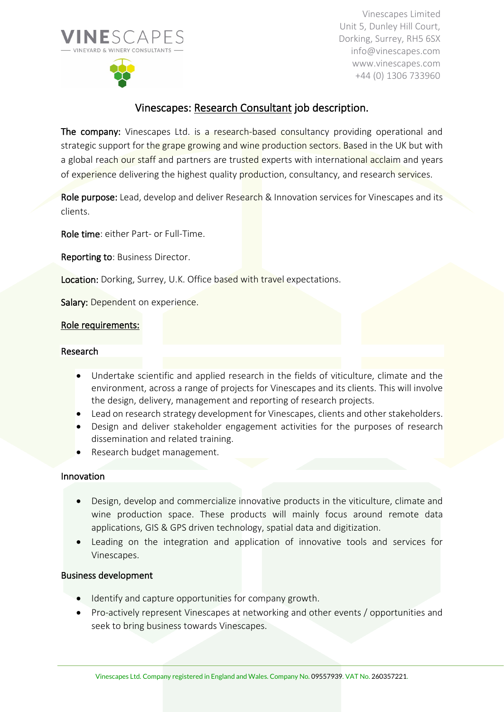



Vinescapes Limited Unit 5, Dunley Hill Court, Dorking, Surrey, RH5 6SX info@vinescapes.com www.vinescapes.com +44 (0) 1306 733960

# Vinescapes: Research Consultant job description.

The company: Vinescapes Ltd. is a research-based consultancy providing operational and strategic support for the grape growing and wine production sectors. Based in the UK but with a global reach our staff and partners are trusted experts with international acclaim and years of experience delivering the highest quality production, consultancy, and research services.

Role purpose: Lead, develop and deliver Research & Innovation services for Vinescapes and its clients.

Role time: either Part- or Full-Time.

Reporting to: Business Director.

Location: Dorking, Surrey, U.K. Office based with travel expectations.

Salary: Dependent on experience.

# Role requirements:

### Research

- Undertake scientific and applied research in the fields of viticulture, climate and the environment, across a range of projects for Vinescapes and its clients. This will involve the design, delivery, management and reporting of research projects.
- Lead on research strategy development for Vinescapes, clients and other stakeholders.
- Design and deliver stakeholder engagement activities for the purposes of research dissemination and related training.
- Research budget management.

### Innovation

- Design, develop and commercialize innovative products in the viticulture, climate and wine production space. These products will mainly focus around remote data applications, GIS & GPS driven technology, spatial data and digitization.
- Leading on the integration and application of innovative tools and services for Vinescapes.

### Business development

- Identify and capture opportunities for company growth.
- Pro-actively represent Vinescapes at networking and other events / opportunities and seek to bring business towards Vinescapes.